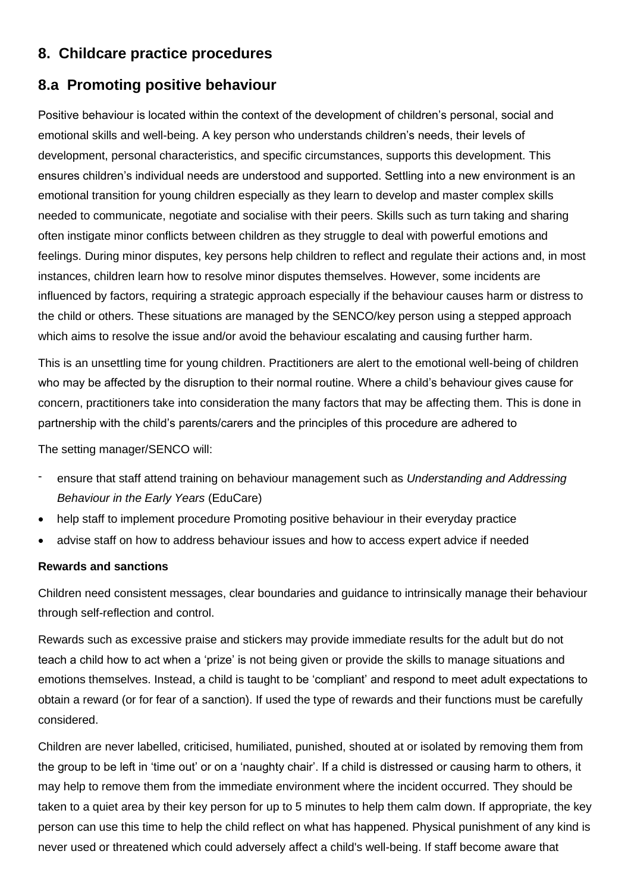# **8. Childcare practice procedures**

# **8.a Promoting positive behaviour**

Positive behaviour is located within the context of the development of children's personal, social and emotional skills and well-being. A key person who understands children's needs, their levels of development, personal characteristics, and specific circumstances, supports this development. This ensures children's individual needs are understood and supported. Settling into a new environment is an emotional transition for young children especially as they learn to develop and master complex skills needed to communicate, negotiate and socialise with their peers. Skills such as turn taking and sharing often instigate minor conflicts between children as they struggle to deal with powerful emotions and feelings. During minor disputes, key persons help children to reflect and regulate their actions and, in most instances, children learn how to resolve minor disputes themselves. However, some incidents are influenced by factors, requiring a strategic approach especially if the behaviour causes harm or distress to the child or others. These situations are managed by the SENCO/key person using a stepped approach which aims to resolve the issue and/or avoid the behaviour escalating and causing further harm.

This is an unsettling time for young children. Practitioners are alert to the emotional well-being of children who may be affected by the disruption to their normal routine. Where a child's behaviour gives cause for concern, practitioners take into consideration the many factors that may be affecting them. This is done in partnership with the child's parents/carers and the principles of this procedure are adhered to

The setting manager/SENCO will:

- ensure that staff attend training on behaviour management such as *Understanding and Addressing Behaviour in the Early Years* (EduCare)
- help staff to implement procedure Promoting positive behaviour in their everyday practice
- advise staff on how to address behaviour issues and how to access expert advice if needed

# **Rewards and sanctions**

Children need consistent messages, clear boundaries and guidance to intrinsically manage their behaviour through self-reflection and control.

Rewards such as excessive praise and stickers may provide immediate results for the adult but do not teach a child how to act when a 'prize' is not being given or provide the skills to manage situations and emotions themselves. Instead, a child is taught to be 'compliant' and respond to meet adult expectations to obtain a reward (or for fear of a sanction). If used the type of rewards and their functions must be carefully considered.

Children are never labelled, criticised, humiliated, punished, shouted at or isolated by removing them from the group to be left in 'time out' or on a 'naughty chair'. If a child is distressed or causing harm to others, it may help to remove them from the immediate environment where the incident occurred. They should be taken to a quiet area by their key person for up to 5 minutes to help them calm down. If appropriate, the key person can use this time to help the child reflect on what has happened. Physical punishment of any kind is never used or threatened which could adversely affect a child's well-being. If staff become aware that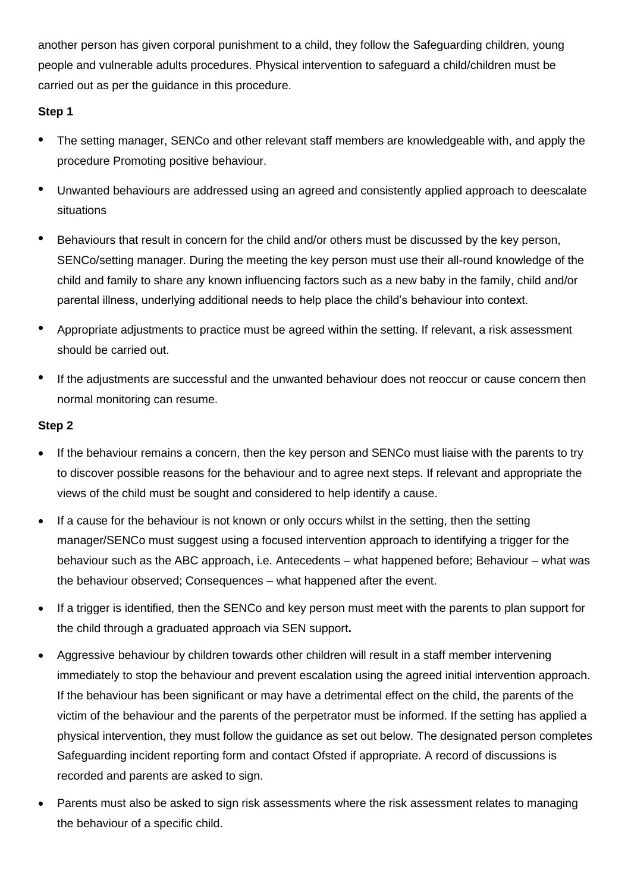another person has given corporal punishment to a child, they follow the Safeguarding children, young people and vulnerable adults procedures. Physical intervention to safeguard a child/children must be carried out as per the guidance in this procedure.

# **Step 1**

- The setting manager, SENCo and other relevant staff members are knowledgeable with, and apply the procedure Promoting positive behaviour.
- Unwanted behaviours are addressed using an agreed and consistently applied approach to deescalate situations
- Behaviours that result in concern for the child and/or others must be discussed by the key person, SENCo/setting manager. During the meeting the key person must use their all-round knowledge of the child and family to share any known influencing factors such as a new baby in the family, child and/or parental illness, underlying additional needs to help place the child's behaviour into context.
- Appropriate adjustments to practice must be agreed within the setting. If relevant, a risk assessment should be carried out.
- If the adjustments are successful and the unwanted behaviour does not reoccur or cause concern then normal monitoring can resume.

# **Step 2**

- If the behaviour remains a concern, then the key person and SENCo must liaise with the parents to try to discover possible reasons for the behaviour and to agree next steps. If relevant and appropriate the views of the child must be sought and considered to help identify a cause.
- If a cause for the behaviour is not known or only occurs whilst in the setting, then the setting manager/SENCo must suggest using a focused intervention approach to identifying a trigger for the behaviour such as the ABC approach, i.e. Antecedents – what happened before; Behaviour – what was the behaviour observed; Consequences – what happened after the event.
- If a trigger is identified, then the SENCo and key person must meet with the parents to plan support for the child through a graduated approach via SEN support**.**
- Aggressive behaviour by children towards other children will result in a staff member intervening immediately to stop the behaviour and prevent escalation using the agreed initial intervention approach. If the behaviour has been significant or may have a detrimental effect on the child, the parents of the victim of the behaviour and the parents of the perpetrator must be informed. If the setting has applied a physical intervention, they must follow the guidance as set out below. The designated person completes Safeguarding incident reporting form and contact Ofsted if appropriate. A record of discussions is recorded and parents are asked to sign.
- Parents must also be asked to sign risk assessments where the risk assessment relates to managing the behaviour of a specific child.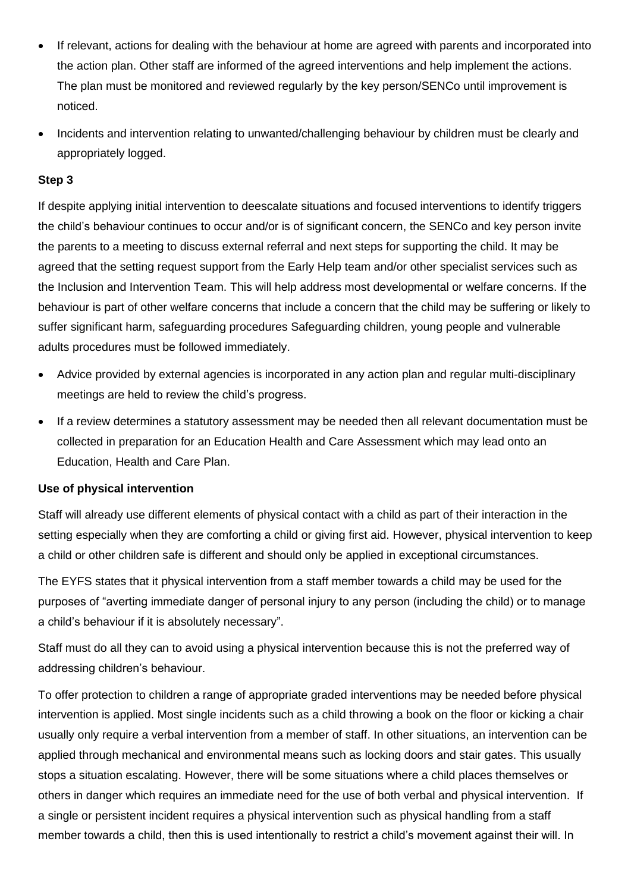- If relevant, actions for dealing with the behaviour at home are agreed with parents and incorporated into the action plan. Other staff are informed of the agreed interventions and help implement the actions. The plan must be monitored and reviewed regularly by the key person/SENCo until improvement is noticed.
- Incidents and intervention relating to unwanted/challenging behaviour by children must be clearly and appropriately logged.

# **Step 3**

If despite applying initial intervention to deescalate situations and focused interventions to identify triggers the child's behaviour continues to occur and/or is of significant concern, the SENCo and key person invite the parents to a meeting to discuss external referral and next steps for supporting the child. It may be agreed that the setting request support from the Early Help team and/or other specialist services such as the Inclusion and Intervention Team. This will help address most developmental or welfare concerns. If the behaviour is part of other welfare concerns that include a concern that the child may be suffering or likely to suffer significant harm, safeguarding procedures Safeguarding children, young people and vulnerable adults procedures must be followed immediately.

- Advice provided by external agencies is incorporated in any action plan and regular multi-disciplinary meetings are held to review the child's progress.
- If a review determines a statutory assessment may be needed then all relevant documentation must be collected in preparation for an Education Health and Care Assessment which may lead onto an Education, Health and Care Plan.

#### **Use of physical intervention**

Staff will already use different elements of physical contact with a child as part of their interaction in the setting especially when they are comforting a child or giving first aid. However, physical intervention to keep a child or other children safe is different and should only be applied in exceptional circumstances.

The EYFS states that it physical intervention from a staff member towards a child may be used for the purposes of "averting immediate danger of personal injury to any person (including the child) or to manage a child's behaviour if it is absolutely necessary".

Staff must do all they can to avoid using a physical intervention because this is not the preferred way of addressing children's behaviour.

To offer protection to children a range of appropriate graded interventions may be needed before physical intervention is applied. Most single incidents such as a child throwing a book on the floor or kicking a chair usually only require a verbal intervention from a member of staff. In other situations, an intervention can be applied through mechanical and environmental means such as locking doors and stair gates. This usually stops a situation escalating. However, there will be some situations where a child places themselves or others in danger which requires an immediate need for the use of both verbal and physical intervention. If a single or persistent incident requires a physical intervention such as physical handling from a staff member towards a child, then this is used intentionally to restrict a child's movement against their will. In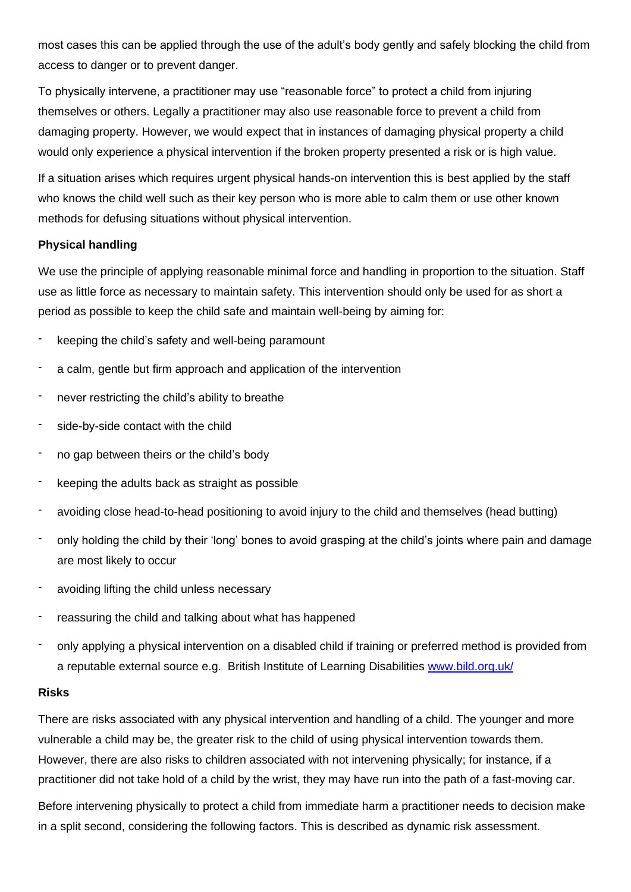most cases this can be applied through the use of the adult's body gently and safely blocking the child from access to danger or to prevent danger.

To physically intervene, a practitioner may use "reasonable force" to protect a child from injuring themselves or others. Legally a practitioner may also use reasonable force to prevent a child from damaging property. However, we would expect that in instances of damaging physical property a child would only experience a physical intervention if the broken property presented a risk or is high value.

If a situation arises which requires urgent physical hands-on intervention this is best applied by the staff who knows the child well such as their key person who is more able to calm them or use other known methods for defusing situations without physical intervention.

#### **Physical handling**

We use the principle of applying reasonable minimal force and handling in proportion to the situation. Staff use as little force as necessary to maintain safety. This intervention should only be used for as short a period as possible to keep the child safe and maintain well-being by aiming for:

- keeping the child's safety and well-being paramount
- a calm, gentle but firm approach and application of the intervention
- never restricting the child's ability to breathe
- side-by-side contact with the child
- no gap between theirs or the child's body
- keeping the adults back as straight as possible
- avoiding close head-to-head positioning to avoid injury to the child and themselves (head butting)
- only holding the child by their 'long' bones to avoid grasping at the child's joints where pain and damage are most likely to occur
- avoiding lifting the child unless necessary
- reassuring the child and talking about what has happened
- only applying a physical intervention on a disabled child if training or preferred method is provided from a reputable external source e.g. British Institute of Learning Disabilities [www.bild.org.uk/](http://www.bild.org.uk/)

#### **Risks**

There are risks associated with any physical intervention and handling of a child. The younger and more vulnerable a child may be, the greater risk to the child of using physical intervention towards them. However, there are also risks to children associated with not intervening physically; for instance, if a practitioner did not take hold of a child by the wrist, they may have run into the path of a fast-moving car.

Before intervening physically to protect a child from immediate harm a practitioner needs to decision make in a split second, considering the following factors. This is described as dynamic risk assessment.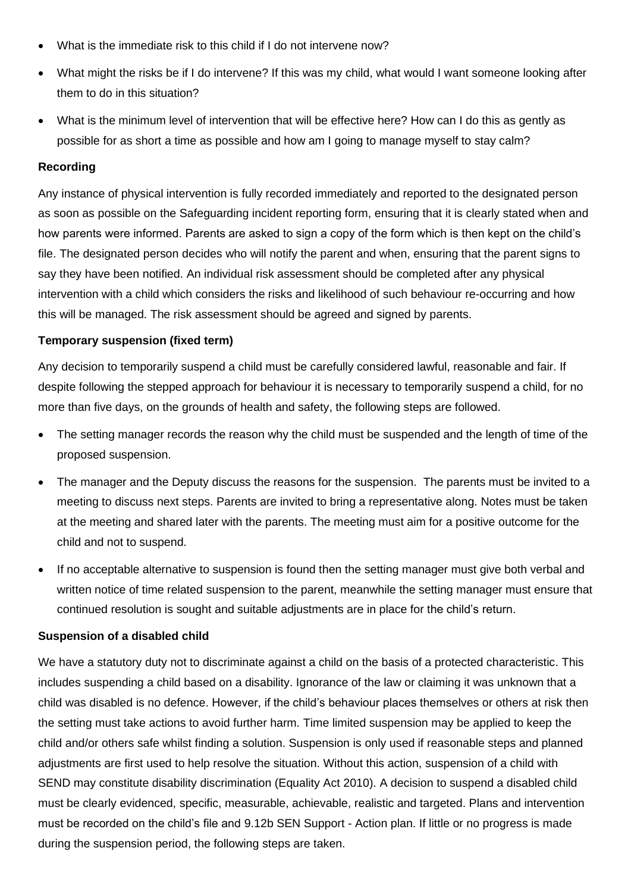- What is the immediate risk to this child if I do not intervene now?
- What might the risks be if I do intervene? If this was my child, what would I want someone looking after them to do in this situation?
- What is the minimum level of intervention that will be effective here? How can I do this as gently as possible for as short a time as possible and how am I going to manage myself to stay calm?

### **Recording**

Any instance of physical intervention is fully recorded immediately and reported to the designated person as soon as possible on the Safeguarding incident reporting form, ensuring that it is clearly stated when and how parents were informed. Parents are asked to sign a copy of the form which is then kept on the child's file. The designated person decides who will notify the parent and when, ensuring that the parent signs to say they have been notified. An individual risk assessment should be completed after any physical intervention with a child which considers the risks and likelihood of such behaviour re-occurring and how this will be managed. The risk assessment should be agreed and signed by parents.

# **Temporary suspension (fixed term)**

Any decision to temporarily suspend a child must be carefully considered lawful, reasonable and fair. If despite following the stepped approach for behaviour it is necessary to temporarily suspend a child, for no more than five days, on the grounds of health and safety, the following steps are followed.

- The setting manager records the reason why the child must be suspended and the length of time of the proposed suspension.
- The manager and the Deputy discuss the reasons for the suspension. The parents must be invited to a meeting to discuss next steps. Parents are invited to bring a representative along. Notes must be taken at the meeting and shared later with the parents. The meeting must aim for a positive outcome for the child and not to suspend.
- If no acceptable alternative to suspension is found then the setting manager must give both verbal and written notice of time related suspension to the parent, meanwhile the setting manager must ensure that continued resolution is sought and suitable adjustments are in place for the child's return.

#### **Suspension of a disabled child**

We have a statutory duty not to discriminate against a child on the basis of a protected characteristic. This includes suspending a child based on a disability. Ignorance of the law or claiming it was unknown that a child was disabled is no defence. However, if the child's behaviour places themselves or others at risk then the setting must take actions to avoid further harm. Time limited suspension may be applied to keep the child and/or others safe whilst finding a solution. Suspension is only used if reasonable steps and planned adjustments are first used to help resolve the situation. Without this action, suspension of a child with SEND may constitute disability discrimination (Equality Act 2010). A decision to suspend a disabled child must be clearly evidenced, specific, measurable, achievable, realistic and targeted. Plans and intervention must be recorded on the child's file and 9.12b SEN Support - Action plan. If little or no progress is made during the suspension period, the following steps are taken.